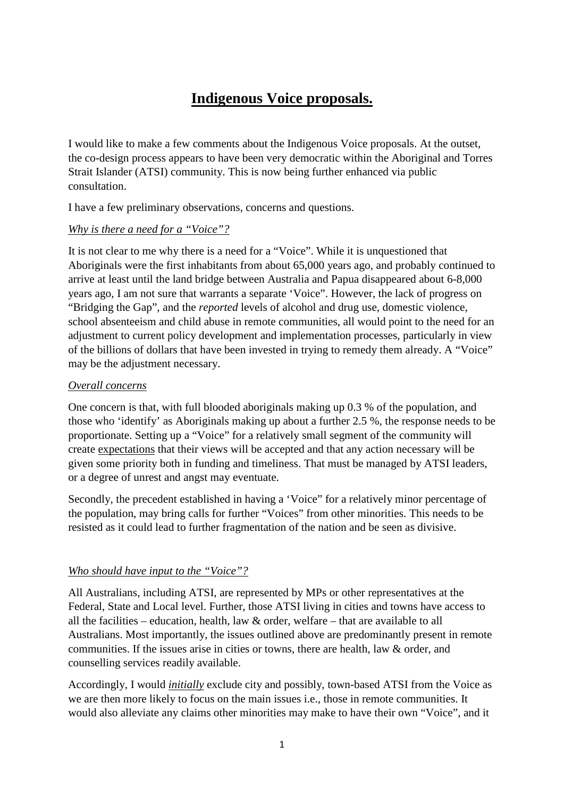# **Indigenous Voice proposals.**

I would like to make a few comments about the Indigenous Voice proposals. At the outset, the co-design process appears to have been very democratic within the Aboriginal and Torres Strait Islander (ATSI) community. This is now being further enhanced via public consultation.

I have a few preliminary observations, concerns and questions.

## *Why is there a need for a "Voice"?*

It is not clear to me why there is a need for a "Voice". While it is unquestioned that Aboriginals were the first inhabitants from about 65,000 years ago, and probably continued to arrive at least until the land bridge between Australia and Papua disappeared about 6-8,000 years ago, I am not sure that warrants a separate 'Voice". However, the lack of progress on "Bridging the Gap", and the *reported* levels of alcohol and drug use, domestic violence, school absenteeism and child abuse in remote communities, all would point to the need for an adjustment to current policy development and implementation processes, particularly in view of the billions of dollars that have been invested in trying to remedy them already. A "Voice" may be the adjustment necessary.

#### *Overall concerns*

One concern is that, with full blooded aboriginals making up 0.3 % of the population, and those who 'identify' as Aboriginals making up about a further 2.5 %, the response needs to be proportionate. Setting up a "Voice" for a relatively small segment of the community will create expectations that their views will be accepted and that any action necessary will be given some priority both in funding and timeliness. That must be managed by ATSI leaders, or a degree of unrest and angst may eventuate.

Secondly, the precedent established in having a 'Voice" for a relatively minor percentage of the population, may bring calls for further "Voices" from other minorities. This needs to be resisted as it could lead to further fragmentation of the nation and be seen as divisive.

## *Who should have input to the "Voice"?*

All Australians, including ATSI, are represented by MPs or other representatives at the Federal, State and Local level. Further, those ATSI living in cities and towns have access to all the facilities – education, health, law & order, welfare – that are available to all Australians. Most importantly, the issues outlined above are predominantly present in remote communities. If the issues arise in cities or towns, there are health, law & order, and counselling services readily available.

Accordingly, I would *initially* exclude city and possibly, town-based ATSI from the Voice as we are then more likely to focus on the main issues i.e., those in remote communities. It would also alleviate any claims other minorities may make to have their own "Voice", and it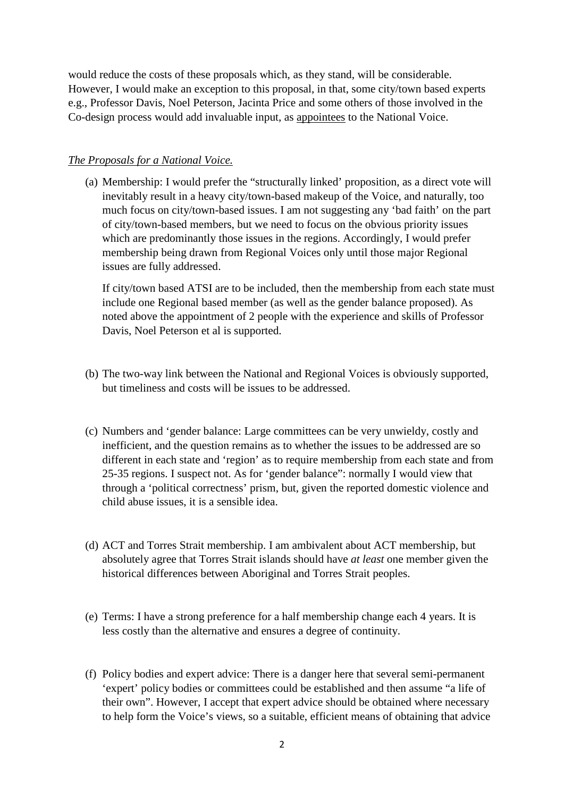would reduce the costs of these proposals which, as they stand, will be considerable. However, I would make an exception to this proposal, in that, some city/town based experts e.g., Professor Davis, Noel Peterson, Jacinta Price and some others of those involved in the Co-design process would add invaluable input, as appointees to the National Voice.

#### *The Proposals for a National Voice.*

(a) Membership: I would prefer the "structurally linked' proposition, as a direct vote will inevitably result in a heavy city/town-based makeup of the Voice, and naturally, too much focus on city/town-based issues. I am not suggesting any 'bad faith' on the part of city/town-based members, but we need to focus on the obvious priority issues which are predominantly those issues in the regions. Accordingly, I would prefer membership being drawn from Regional Voices only until those major Regional issues are fully addressed.

If city/town based ATSI are to be included, then the membership from each state must include one Regional based member (as well as the gender balance proposed). As noted above the appointment of 2 people with the experience and skills of Professor Davis, Noel Peterson et al is supported.

- (b) The two-way link between the National and Regional Voices is obviously supported, but timeliness and costs will be issues to be addressed.
- (c) Numbers and 'gender balance: Large committees can be very unwieldy, costly and inefficient, and the question remains as to whether the issues to be addressed are so different in each state and 'region' as to require membership from each state and from 25-35 regions. I suspect not. As for 'gender balance": normally I would view that through a 'political correctness' prism, but, given the reported domestic violence and child abuse issues, it is a sensible idea.
- (d) ACT and Torres Strait membership. I am ambivalent about ACT membership, but absolutely agree that Torres Strait islands should have *at least* one member given the historical differences between Aboriginal and Torres Strait peoples.
- (e) Terms: I have a strong preference for a half membership change each 4 years. It is less costly than the alternative and ensures a degree of continuity.
- (f) Policy bodies and expert advice: There is a danger here that several semi-permanent 'expert' policy bodies or committees could be established and then assume "a life of their own". However, I accept that expert advice should be obtained where necessary to help form the Voice's views, so a suitable, efficient means of obtaining that advice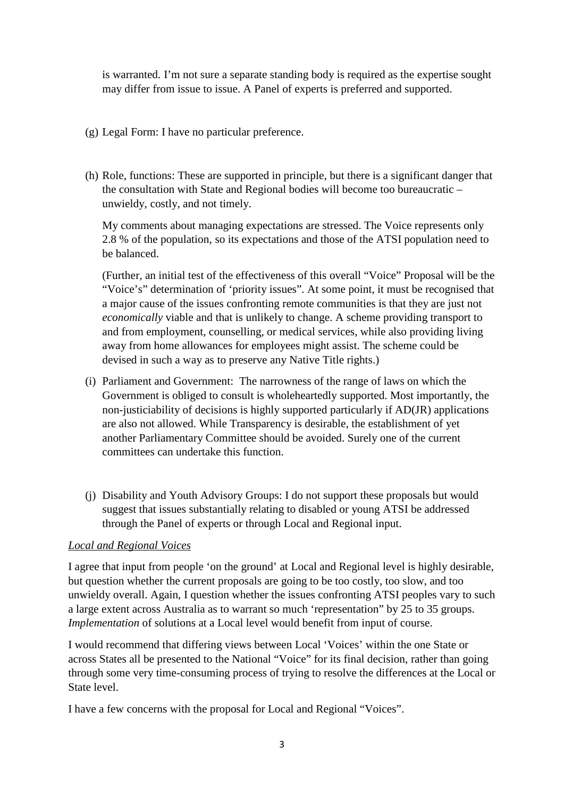is warranted. I'm not sure a separate standing body is required as the expertise sought may differ from issue to issue. A Panel of experts is preferred and supported.

- (g) Legal Form: I have no particular preference.
- (h) Role, functions: These are supported in principle, but there is a significant danger that the consultation with State and Regional bodies will become too bureaucratic – unwieldy, costly, and not timely.

My comments about managing expectations are stressed. The Voice represents only 2.8 % of the population, so its expectations and those of the ATSI population need to be balanced.

(Further, an initial test of the effectiveness of this overall "Voice" Proposal will be the "Voice's" determination of 'priority issues". At some point, it must be recognised that a major cause of the issues confronting remote communities is that they are just not *economically* viable and that is unlikely to change. A scheme providing transport to and from employment, counselling, or medical services, while also providing living away from home allowances for employees might assist. The scheme could be devised in such a way as to preserve any Native Title rights.)

- (i) Parliament and Government: The narrowness of the range of laws on which the Government is obliged to consult is wholeheartedly supported. Most importantly, the non-justiciability of decisions is highly supported particularly if AD(JR) applications are also not allowed. While Transparency is desirable, the establishment of yet another Parliamentary Committee should be avoided. Surely one of the current committees can undertake this function.
- (j) Disability and Youth Advisory Groups: I do not support these proposals but would suggest that issues substantially relating to disabled or young ATSI be addressed through the Panel of experts or through Local and Regional input.

## *Local and Regional Voices*

I agree that input from people 'on the ground' at Local and Regional level is highly desirable, but question whether the current proposals are going to be too costly, too slow, and too unwieldy overall. Again, I question whether the issues confronting ATSI peoples vary to such a large extent across Australia as to warrant so much 'representation" by 25 to 35 groups. *Implementation* of solutions at a Local level would benefit from input of course.

I would recommend that differing views between Local 'Voices' within the one State or across States all be presented to the National "Voice" for its final decision, rather than going through some very time-consuming process of trying to resolve the differences at the Local or State level.

I have a few concerns with the proposal for Local and Regional "Voices".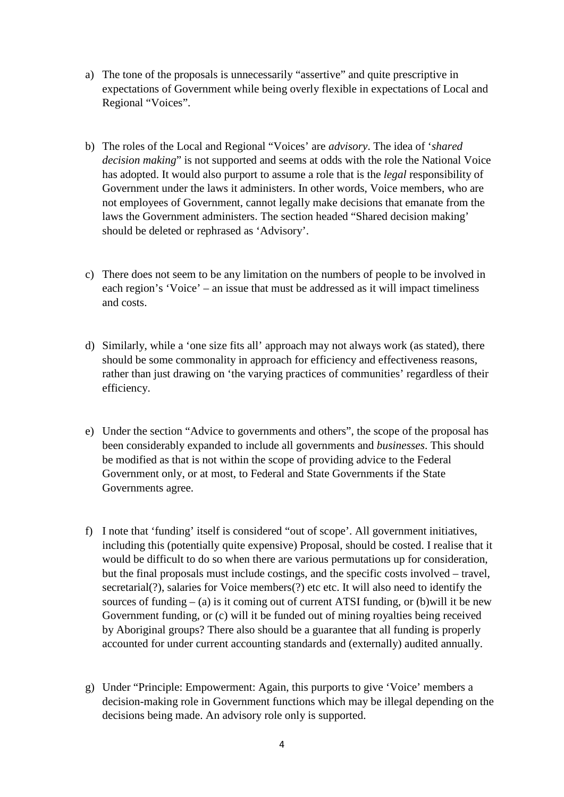- a) The tone of the proposals is unnecessarily "assertive" and quite prescriptive in expectations of Government while being overly flexible in expectations of Local and Regional "Voices".
- b) The roles of the Local and Regional "Voices' are *advisory*. The idea of '*shared decision making*" is not supported and seems at odds with the role the National Voice has adopted. It would also purport to assume a role that is the *legal* responsibility of Government under the laws it administers. In other words, Voice members, who are not employees of Government, cannot legally make decisions that emanate from the laws the Government administers. The section headed "Shared decision making' should be deleted or rephrased as 'Advisory'.
- c) There does not seem to be any limitation on the numbers of people to be involved in each region's 'Voice' – an issue that must be addressed as it will impact timeliness and costs.
- d) Similarly, while a 'one size fits all' approach may not always work (as stated), there should be some commonality in approach for efficiency and effectiveness reasons, rather than just drawing on 'the varying practices of communities' regardless of their efficiency.
- e) Under the section "Advice to governments and others", the scope of the proposal has been considerably expanded to include all governments and *businesses*. This should be modified as that is not within the scope of providing advice to the Federal Government only, or at most, to Federal and State Governments if the State Governments agree.
- f) I note that 'funding' itself is considered "out of scope'. All government initiatives, including this (potentially quite expensive) Proposal, should be costed. I realise that it would be difficult to do so when there are various permutations up for consideration, but the final proposals must include costings, and the specific costs involved – travel, secretarial(?), salaries for Voice members(?) etc etc. It will also need to identify the sources of funding  $-$  (a) is it coming out of current ATSI funding, or (b) will it be new Government funding, or (c) will it be funded out of mining royalties being received by Aboriginal groups? There also should be a guarantee that all funding is properly accounted for under current accounting standards and (externally) audited annually.
- g) Under "Principle: Empowerment: Again, this purports to give 'Voice' members a decision-making role in Government functions which may be illegal depending on the decisions being made. An advisory role only is supported.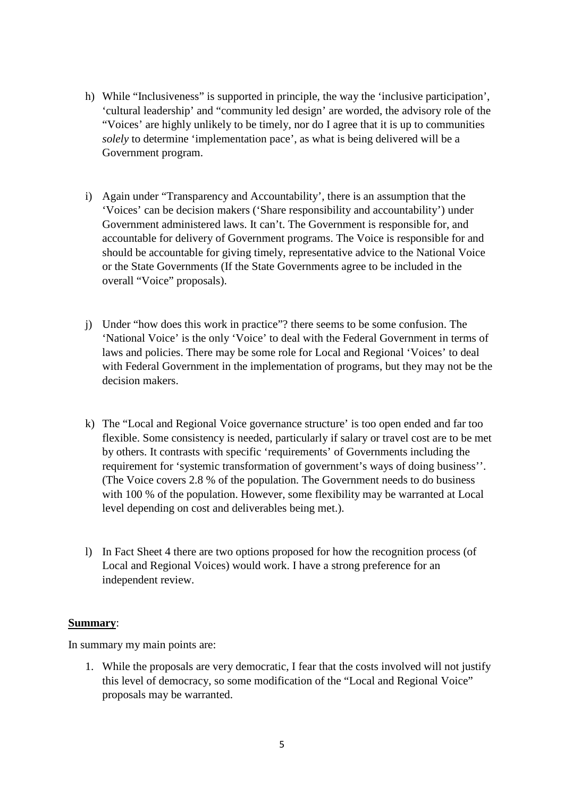- h) While "Inclusiveness" is supported in principle, the way the 'inclusive participation', 'cultural leadership' and "community led design' are worded, the advisory role of the "Voices' are highly unlikely to be timely, nor do I agree that it is up to communities *solely* to determine 'implementation pace', as what is being delivered will be a Government program.
- i) Again under "Transparency and Accountability', there is an assumption that the 'Voices' can be decision makers ('Share responsibility and accountability') under Government administered laws. It can't. The Government is responsible for, and accountable for delivery of Government programs. The Voice is responsible for and should be accountable for giving timely, representative advice to the National Voice or the State Governments (If the State Governments agree to be included in the overall "Voice" proposals).
- j) Under "how does this work in practice"? there seems to be some confusion. The 'National Voice' is the only 'Voice' to deal with the Federal Government in terms of laws and policies. There may be some role for Local and Regional 'Voices' to deal with Federal Government in the implementation of programs, but they may not be the decision makers.
- k) The "Local and Regional Voice governance structure' is too open ended and far too flexible. Some consistency is needed, particularly if salary or travel cost are to be met by others. It contrasts with specific 'requirements' of Governments including the requirement for 'systemic transformation of government's ways of doing business''. (The Voice covers 2.8 % of the population. The Government needs to do business with 100 % of the population. However, some flexibility may be warranted at Local level depending on cost and deliverables being met.).
- l) In Fact Sheet 4 there are two options proposed for how the recognition process (of Local and Regional Voices) would work. I have a strong preference for an independent review.

#### **Summary**:

In summary my main points are:

1. While the proposals are very democratic, I fear that the costs involved will not justify this level of democracy, so some modification of the "Local and Regional Voice" proposals may be warranted.